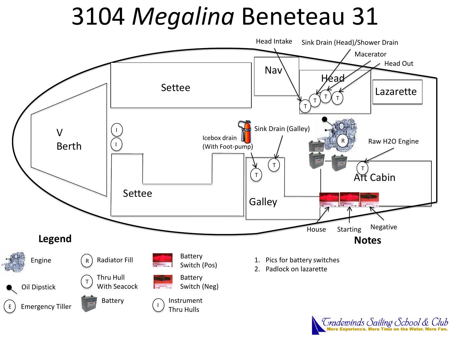# 3104 *Megalina* Beneteau 31



*Fradewinds Sailing School & Club*<br>More Experience. More Time on the Water. More Fun.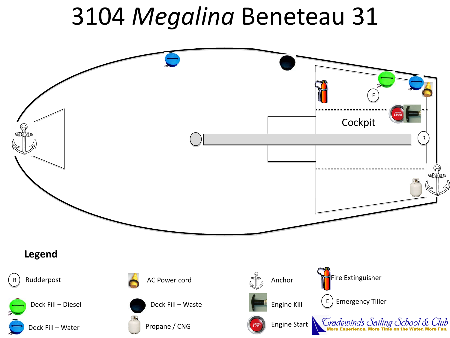# 3104 *Megalina* Beneteau 31

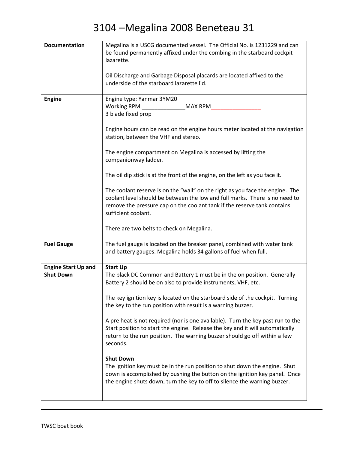| <b>Documentation</b>       | Megalina is a USCG documented vessel. The Official No. is 1231229 and can       |
|----------------------------|---------------------------------------------------------------------------------|
|                            | be found permanently affixed under the combing in the starboard cockpit         |
|                            | lazarette.                                                                      |
|                            |                                                                                 |
|                            | Oil Discharge and Garbage Disposal placards are located affixed to the          |
|                            | underside of the starboard lazarette lid.                                       |
|                            |                                                                                 |
| <b>Engine</b>              | Engine type: Yanmar 3YM20                                                       |
|                            | Working RPM<br>MAX RPM                                                          |
|                            | 3 blade fixed prop                                                              |
|                            |                                                                                 |
|                            | Engine hours can be read on the engine hours meter located at the navigation    |
|                            | station, between the VHF and stereo.                                            |
|                            |                                                                                 |
|                            | The engine compartment on Megalina is accessed by lifting the                   |
|                            | companionway ladder.                                                            |
|                            |                                                                                 |
|                            | The oil dip stick is at the front of the engine, on the left as you face it.    |
|                            |                                                                                 |
|                            | The coolant reserve is on the "wall" on the right as you face the engine. The   |
|                            | coolant level should be between the low and full marks. There is no need to     |
|                            | remove the pressure cap on the coolant tank if the reserve tank contains        |
|                            | sufficient coolant.                                                             |
|                            |                                                                                 |
|                            | There are two belts to check on Megalina.                                       |
|                            |                                                                                 |
| <b>Fuel Gauge</b>          | The fuel gauge is located on the breaker panel, combined with water tank        |
|                            | and battery gauges. Megalina holds 34 gallons of fuel when full.                |
|                            |                                                                                 |
| <b>Engine Start Up and</b> | <b>Start Up</b>                                                                 |
| <b>Shut Down</b>           | The black DC Common and Battery 1 must be in the on position. Generally         |
|                            | Battery 2 should be on also to provide instruments, VHF, etc.                   |
|                            |                                                                                 |
|                            | The key ignition key is located on the starboard side of the cockpit. Turning   |
|                            | the key to the run position with result is a warning buzzer.                    |
|                            |                                                                                 |
|                            | A pre heat is not required (nor is one available). Turn the key past run to the |
|                            | Start position to start the engine. Release the key and it will automatically   |
|                            | return to the run position. The warning buzzer should go off within a few       |
|                            | seconds.                                                                        |
|                            |                                                                                 |
|                            | <b>Shut Down</b>                                                                |
|                            | The ignition key must be in the run position to shut down the engine. Shut      |
|                            | down is accomplished by pushing the button on the ignition key panel. Once      |
|                            | the engine shuts down, turn the key to off to silence the warning buzzer.       |
|                            |                                                                                 |
|                            |                                                                                 |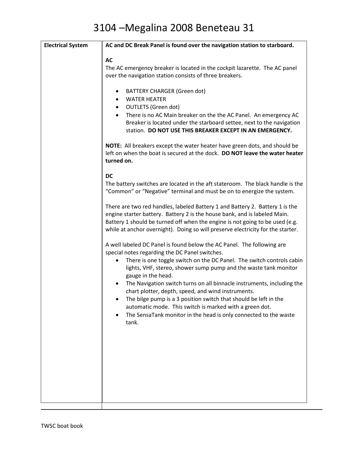| <b>Electrical System</b> | AC and DC Break Panel is found over the navigation station to starboard.                                                                                                                                                                                                                                                                                                                                                                                                                                                                                                                                                                |
|--------------------------|-----------------------------------------------------------------------------------------------------------------------------------------------------------------------------------------------------------------------------------------------------------------------------------------------------------------------------------------------------------------------------------------------------------------------------------------------------------------------------------------------------------------------------------------------------------------------------------------------------------------------------------------|
|                          | <b>AC</b><br>The AC emergency breaker is located in the cockpit lazarette. The AC panel<br>over the navigation station consists of three breakers.<br><b>BATTERY CHARGER (Green dot)</b><br><b>WATER HEATER</b><br>$\bullet$<br><b>OUTLETS</b> (Green dot)<br>$\bullet$<br>There is no AC Main breaker on the the AC Panel. An emergency AC<br>Breaker is located under the starboard settee, next to the navigation<br>station. DO NOT USE THIS BREAKER EXCEPT IN AN EMERGENCY.                                                                                                                                                        |
|                          | <b>NOTE:</b> All breakers except the water heater have green dots, and should be<br>left on when the boat is secured at the dock. DO NOT leave the water heater<br>turned on.                                                                                                                                                                                                                                                                                                                                                                                                                                                           |
|                          | <b>DC</b><br>The battery switches are located in the aft stateroom. The black handle is the<br>"Common" or "Negative" terminal and must be on to energize the system.                                                                                                                                                                                                                                                                                                                                                                                                                                                                   |
|                          | There are two red handles, labeled Battery 1 and Battery 2. Battery 1 is the<br>engine starter battery. Battery 2 is the house bank, and is labeled Main.<br>Battery 1 should be turned off when the engine is not going to be used (e.g.<br>while at anchor overnight). Doing so will preserve electricity for the starter.                                                                                                                                                                                                                                                                                                            |
|                          | A well labeled DC Panel is found below the AC Panel. The following are<br>special notes regarding the DC Panel switches.<br>There is one toggle switch on the DC Panel. The switch controls cabin<br>lights, VHF, stereo, shower sump pump and the waste tank monitor<br>gauge in the head.<br>The Navigation switch turns on all binnacle instruments, including the<br>chart plotter, depth, speed, and wind instruments.<br>The bilge pump is a 3 position switch that should be left in the<br>automatic mode. This switch is marked with a green dot.<br>The SensaTank monitor in the head is only connected to the waste<br>tank. |
|                          |                                                                                                                                                                                                                                                                                                                                                                                                                                                                                                                                                                                                                                         |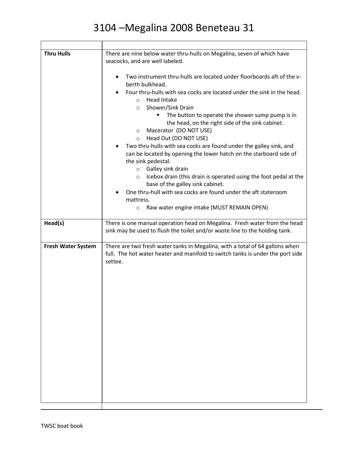| <b>Thru Hulls</b>         | There are nine below water thru-hulls on Megalina, seven of which have<br>seacocks, and are well labeled.<br>Two instrument thru-hulls are located under floorboards aft of the v-<br>$\bullet$<br>berth bulkhead.<br>Four thru-hulls with sea cocks are located under the sink in the head.<br><b>Head Intake</b><br>$\circ$<br>Shower/Sink Drain<br>$\circ$<br>The button to operate the shower sump pump is in<br>the head, on the right side of the sink cabinet.<br>Macerator (DO NOT USE)<br>$\circ$<br>Head Out (DO NOT USE)<br>$\circ$<br>Two thru-hulls with sea cocks are found under the galley sink, and<br>can be located by opening the lower hatch on the starboard side of<br>the sink pedestal.<br>Galley sink drain<br>$\circ$<br>Icebox drain (this drain is operated using the foot pedal at the<br>$\circ$<br>base of the galley sink cabinet.<br>One thru-hull with sea cocks are found under the aft stateroom<br>mattress.<br>Raw water engine intake (MUST REMAIN OPEN)<br>$\circ$ |
|---------------------------|-------------------------------------------------------------------------------------------------------------------------------------------------------------------------------------------------------------------------------------------------------------------------------------------------------------------------------------------------------------------------------------------------------------------------------------------------------------------------------------------------------------------------------------------------------------------------------------------------------------------------------------------------------------------------------------------------------------------------------------------------------------------------------------------------------------------------------------------------------------------------------------------------------------------------------------------------------------------------------------------------------------|
| Head(s)                   | There is one manual operation head on Megalina. Fresh water from the head<br>sink may be used to flush the toilet and/or waste line to the holding tank.                                                                                                                                                                                                                                                                                                                                                                                                                                                                                                                                                                                                                                                                                                                                                                                                                                                    |
| <b>Fresh Water System</b> | There are two fresh water tanks in Megalina, with a total of 64 gallons when<br>full. The hot water heater and manifold to switch tanks is under the port side<br>settee.                                                                                                                                                                                                                                                                                                                                                                                                                                                                                                                                                                                                                                                                                                                                                                                                                                   |